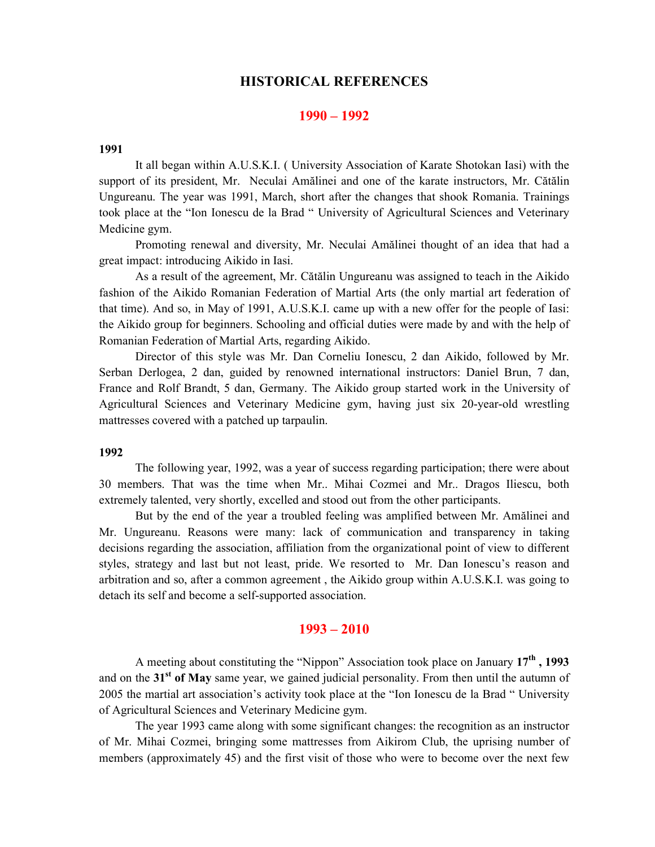### HISTORICAL REFERENCES

### 1990 – 1992

### 1991

It all began within A.U.S.K.I. ( University Association of Karate Shotokan Iasi) with the support of its president, Mr. Neculai Amălinei and one of the karate instructors, Mr. Cătălin Ungureanu. The year was 1991, March, short after the changes that shook Romania. Trainings took place at the "Ion Ionescu de la Brad " University of Agricultural Sciences and Veterinary Medicine gym.

Promoting renewal and diversity, Mr. Neculai Amălinei thought of an idea that had a great impact: introducing Aikido in Iasi.

As a result of the agreement, Mr. Cătălin Ungureanu was assigned to teach in the Aikido fashion of the Aikido Romanian Federation of Martial Arts (the only martial art federation of that time). And so, in May of 1991, A.U.S.K.I. came up with a new offer for the people of Iasi: the Aikido group for beginners. Schooling and official duties were made by and with the help of Romanian Federation of Martial Arts, regarding Aikido.

Director of this style was Mr. Dan Corneliu Ionescu, 2 dan Aikido, followed by Mr. Serban Derlogea, 2 dan, guided by renowned international instructors: Daniel Brun, 7 dan, France and Rolf Brandt, 5 dan, Germany. The Aikido group started work in the University of Agricultural Sciences and Veterinary Medicine gym, having just six 20-year-old wrestling mattresses covered with a patched up tarpaulin.

#### 1992

The following year, 1992, was a year of success regarding participation; there were about 30 members. That was the time when Mr.. Mihai Cozmei and Mr.. Dragos Iliescu, both extremely talented, very shortly, excelled and stood out from the other participants.

But by the end of the year a troubled feeling was amplified between Mr. Amălinei and Mr. Ungureanu. Reasons were many: lack of communication and transparency in taking decisions regarding the association, affiliation from the organizational point of view to different styles, strategy and last but not least, pride. We resorted to Mr. Dan Ionescu's reason and arbitration and so, after a common agreement , the Aikido group within A.U.S.K.I. was going to detach its self and become a self-supported association.

# 1993 – 2010

A meeting about constituting the "Nippon" Association took place on January  $17<sup>th</sup>$ , 1993 and on the  $31<sup>st</sup>$  of May same year, we gained judicial personality. From then until the autumn of 2005 the martial art association's activity took place at the "Ion Ionescu de la Brad " University of Agricultural Sciences and Veterinary Medicine gym.

The year 1993 came along with some significant changes: the recognition as an instructor of Mr. Mihai Cozmei, bringing some mattresses from Aikirom Club, the uprising number of members (approximately 45) and the first visit of those who were to become over the next few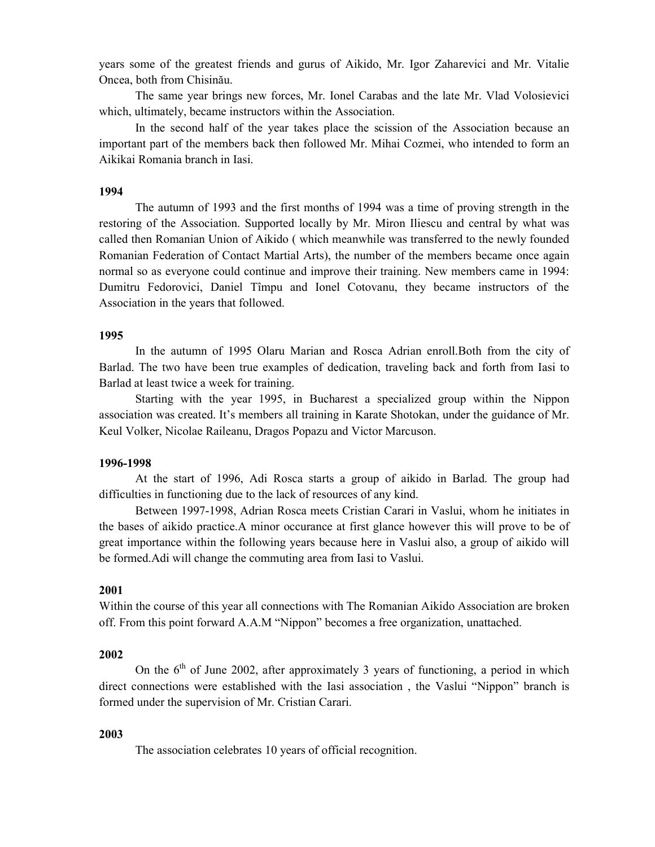years some of the greatest friends and gurus of Aikido, Mr. Igor Zaharevici and Mr. Vitalie Oncea, both from Chisinău.

The same year brings new forces, Mr. Ionel Carabas and the late Mr. Vlad Volosievici which, ultimately, became instructors within the Association.

In the second half of the year takes place the scission of the Association because an important part of the members back then followed Mr. Mihai Cozmei, who intended to form an Aikikai Romania branch in Iasi.

#### 1994

The autumn of 1993 and the first months of 1994 was a time of proving strength in the restoring of the Association. Supported locally by Mr. Miron Iliescu and central by what was called then Romanian Union of Aikido ( which meanwhile was transferred to the newly founded Romanian Federation of Contact Martial Arts), the number of the members became once again normal so as everyone could continue and improve their training. New members came in 1994: Dumitru Fedorovici, Daniel Tîmpu and Ionel Cotovanu, they became instructors of the Association in the years that followed.

## 1995

In the autumn of 1995 Olaru Marian and Rosca Adrian enroll.Both from the city of Barlad. The two have been true examples of dedication, traveling back and forth from Iasi to Barlad at least twice a week for training.

Starting with the year 1995, in Bucharest a specialized group within the Nippon association was created. It's members all training in Karate Shotokan, under the guidance of Mr. Keul Volker, Nicolae Raileanu, Dragos Popazu and Victor Marcuson.

#### 1996-1998

At the start of 1996, Adi Rosca starts a group of aikido in Barlad. The group had difficulties in functioning due to the lack of resources of any kind.

Between 1997-1998, Adrian Rosca meets Cristian Carari in Vaslui, whom he initiates in the bases of aikido practice.A minor occurance at first glance however this will prove to be of great importance within the following years because here in Vaslui also, a group of aikido will be formed.Adi will change the commuting area from Iasi to Vaslui.

### 2001

Within the course of this year all connections with The Romanian Aikido Association are broken off. From this point forward A.A.M "Nippon" becomes a free organization, unattached.

### 2002

On the  $6<sup>th</sup>$  of June 2002, after approximately 3 years of functioning, a period in which direct connections were established with the Iasi association , the Vaslui "Nippon" branch is formed under the supervision of Mr. Cristian Carari.

#### 2003

The association celebrates 10 years of official recognition.